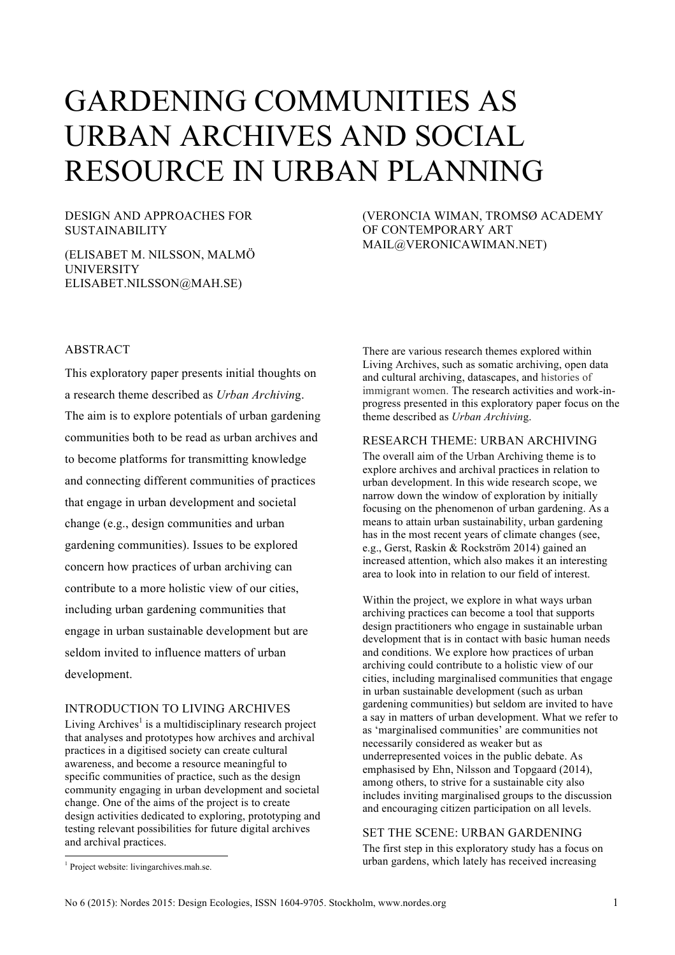# GARDENING COMMUNITIES AS URBAN ARCHIVES AND SOCIAL RESOURCE IN URBAN PLANNING

## DESIGN AND APPROACHES FOR SUSTAINABILITY

(ELISABET M. NILSSON, MALMÖ UNIVERSITY ELISABET.NILSSON@MAH.SE)

(VERONCIA WIMAN, TROMSØ ACADEMY OF CONTEMPORARY ART MAIL@VERONICAWIMAN.NET)

## ABSTRACT

This exploratory paper presents initial thoughts on a research theme described as *Urban Archivin*g. The aim is to explore potentials of urban gardening communities both to be read as urban archives and to become platforms for transmitting knowledge and connecting different communities of practices that engage in urban development and societal change (e.g., design communities and urban gardening communities). Issues to be explored concern how practices of urban archiving can contribute to a more holistic view of our cities, including urban gardening communities that engage in urban sustainable development but are seldom invited to influence matters of urban development.

## INTRODUCTION TO LIVING ARCHIVES

Living  $Archives<sup>1</sup>$  is a multidisciplinary research project that analyses and prototypes how archives and archival practices in a digitised society can create cultural awareness, and become a resource meaningful to specific communities of practice, such as the design community engaging in urban development and societal change. One of the aims of the project is to create design activities dedicated to exploring, prototyping and testing relevant possibilities for future digital archives and archival practices.

There are various research themes explored within Living Archives, such as somatic archiving, open data and cultural archiving, datascapes, and histories of immigrant women. The research activities and work-inprogress presented in this exploratory paper focus on the theme described as *Urban Archivin*g.

## RESEARCH THEME: URBAN ARCHIVING

The overall aim of the Urban Archiving theme is to explore archives and archival practices in relation to urban development. In this wide research scope, we narrow down the window of exploration by initially focusing on the phenomenon of urban gardening. As a means to attain urban sustainability, urban gardening has in the most recent years of climate changes (see, e.g., Gerst, Raskin & Rockström 2014) gained an increased attention, which also makes it an interesting area to look into in relation to our field of interest.

Within the project, we explore in what ways urban archiving practices can become a tool that supports design practitioners who engage in sustainable urban development that is in contact with basic human needs and conditions. We explore how practices of urban archiving could contribute to a holistic view of our cities, including marginalised communities that engage in urban sustainable development (such as urban gardening communities) but seldom are invited to have a say in matters of urban development. What we refer to as 'marginalised communities' are communities not necessarily considered as weaker but as underrepresented voices in the public debate. As emphasised by Ehn, Nilsson and Topgaard (2014), among others, to strive for a sustainable city also includes inviting marginalised groups to the discussion and encouraging citizen participation on all levels.

#### SET THE SCENE: URBAN GARDENING

The first step in this exploratory study has a focus on urban gardens, which lately has received increasing

<sup>&</sup>lt;sup>1</sup> Project website: livingarchives.mah.se.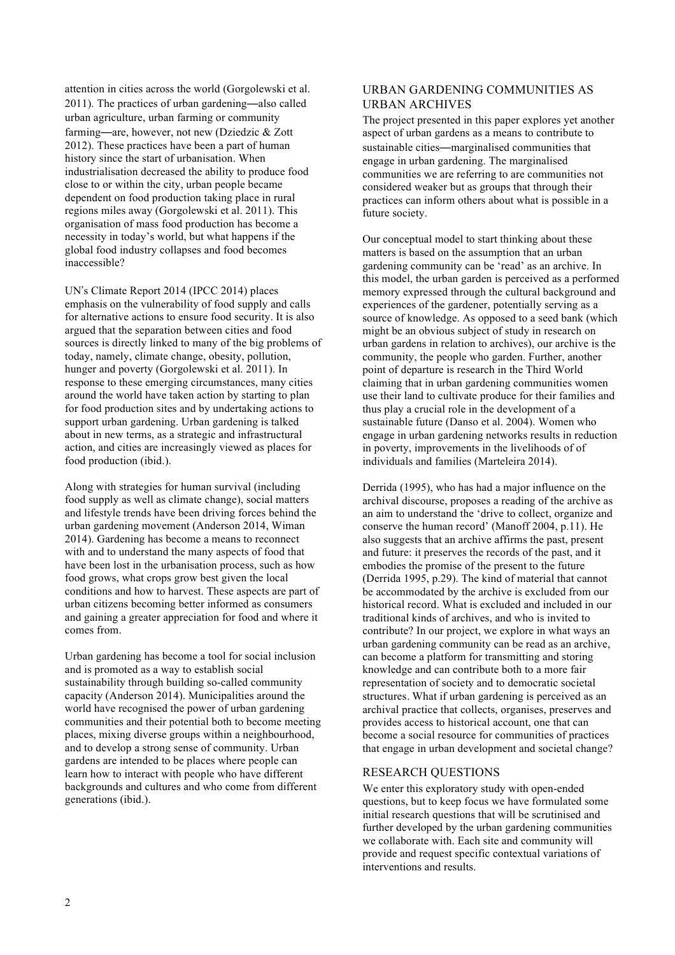attention in cities across the world (Gorgolewski et al. 2011). The practices of urban gardening—also called urban agriculture, urban farming or community farming—are, however, not new (Dziedzic & Zott 2012). These practices have been a part of human history since the start of urbanisation. When industrialisation decreased the ability to produce food close to or within the city, urban people became dependent on food production taking place in rural regions miles away (Gorgolewski et al. 2011). This organisation of mass food production has become a necessity in today's world, but what happens if the global food industry collapses and food becomes inaccessible?

UN's Climate Report 2014 (IPCC 2014) places emphasis on the vulnerability of food supply and calls for alternative actions to ensure food security. It is also argued that the separation between cities and food sources is directly linked to many of the big problems of today, namely, climate change, obesity, pollution, hunger and poverty (Gorgolewski et al. 2011). In response to these emerging circumstances, many cities around the world have taken action by starting to plan for food production sites and by undertaking actions to support urban gardening. Urban gardening is talked about in new terms, as a strategic and infrastructural action, and cities are increasingly viewed as places for food production (ibid.).

Along with strategies for human survival (including food supply as well as climate change), social matters and lifestyle trends have been driving forces behind the urban gardening movement (Anderson 2014, Wiman 2014). Gardening has become a means to reconnect with and to understand the many aspects of food that have been lost in the urbanisation process, such as how food grows, what crops grow best given the local conditions and how to harvest. These aspects are part of urban citizens becoming better informed as consumers and gaining a greater appreciation for food and where it comes from.

Urban gardening has become a tool for social inclusion and is promoted as a way to establish social sustainability through building so-called community capacity (Anderson 2014). Municipalities around the world have recognised the power of urban gardening communities and their potential both to become meeting places, mixing diverse groups within a neighbourhood, and to develop a strong sense of community. Urban gardens are intended to be places where people can learn how to interact with people who have different backgrounds and cultures and who come from different generations (ibid.).

## URBAN GARDENING COMMUNITIES AS URBAN ARCHIVES

The project presented in this paper explores yet another aspect of urban gardens as a means to contribute to sustainable cities—marginalised communities that engage in urban gardening. The marginalised communities we are referring to are communities not considered weaker but as groups that through their practices can inform others about what is possible in a future society.

Our conceptual model to start thinking about these matters is based on the assumption that an urban gardening community can be 'read' as an archive. In this model, the urban garden is perceived as a performed memory expressed through the cultural background and experiences of the gardener, potentially serving as a source of knowledge. As opposed to a seed bank (which might be an obvious subject of study in research on urban gardens in relation to archives), our archive is the community, the people who garden. Further, another point of departure is research in the Third World claiming that in urban gardening communities women use their land to cultivate produce for their families and thus play a crucial role in the development of a sustainable future (Danso et al. 2004). Women who engage in urban gardening networks results in reduction in poverty, improvements in the livelihoods of of individuals and families (Marteleira 2014).

Derrida (1995), who has had a major influence on the archival discourse, proposes a reading of the archive as an aim to understand the 'drive to collect, organize and conserve the human record' (Manoff 2004, p.11). He also suggests that an archive affirms the past, present and future: it preserves the records of the past, and it embodies the promise of the present to the future (Derrida 1995, p.29). The kind of material that cannot be accommodated by the archive is excluded from our historical record. What is excluded and included in our traditional kinds of archives, and who is invited to contribute? In our project, we explore in what ways an urban gardening community can be read as an archive, can become a platform for transmitting and storing knowledge and can contribute both to a more fair representation of society and to democratic societal structures. What if urban gardening is perceived as an archival practice that collects, organises, preserves and provides access to historical account, one that can become a social resource for communities of practices that engage in urban development and societal change?

## RESEARCH QUESTIONS

We enter this exploratory study with open-ended questions, but to keep focus we have formulated some initial research questions that will be scrutinised and further developed by the urban gardening communities we collaborate with. Each site and community will provide and request specific contextual variations of interventions and results.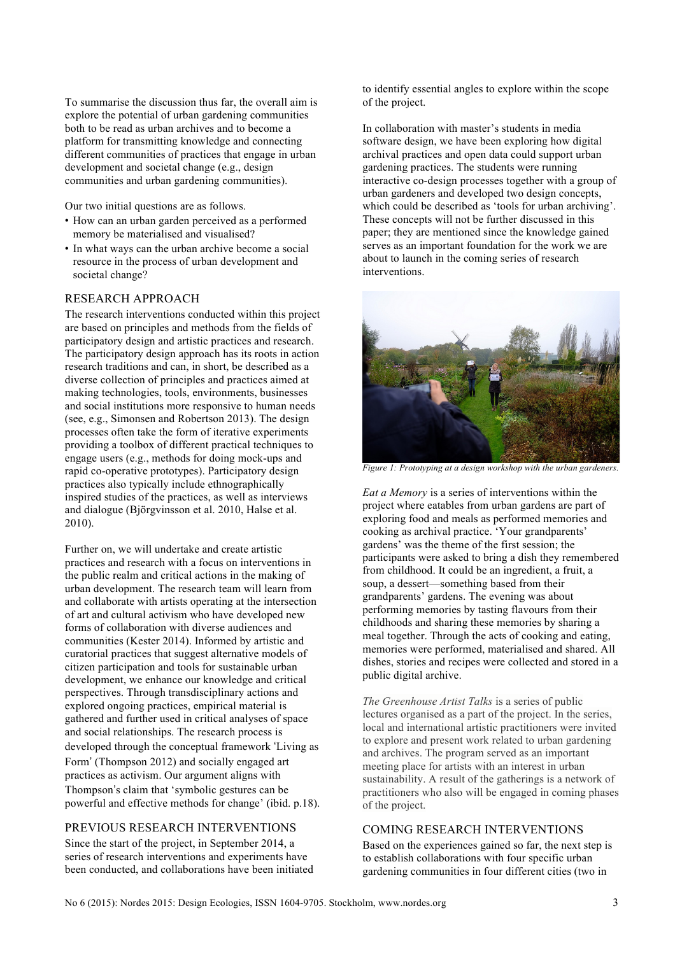To summarise the discussion thus far, the overall aim is explore the potential of urban gardening communities both to be read as urban archives and to become a platform for transmitting knowledge and connecting different communities of practices that engage in urban development and societal change (e.g., design communities and urban gardening communities).

Our two initial questions are as follows.

- How can an urban garden perceived as a performed memory be materialised and visualised?
- In what ways can the urban archive become a social resource in the process of urban development and societal change?

#### RESEARCH APPROACH

The research interventions conducted within this project are based on principles and methods from the fields of participatory design and artistic practices and research. The participatory design approach has its roots in action research traditions and can, in short, be described as a diverse collection of principles and practices aimed at making technologies, tools, environments, businesses and social institutions more responsive to human needs (see, e.g., Simonsen and Robertson 2013). The design processes often take the form of iterative experiments providing a toolbox of different practical techniques to engage users (e.g., methods for doing mock-ups and rapid co-operative prototypes). Participatory design practices also typically include ethnographically inspired studies of the practices, as well as interviews and dialogue (Björgvinsson et al. 2010, Halse et al. 2010).

Further on, we will undertake and create artistic practices and research with a focus on interventions in the public realm and critical actions in the making of urban development. The research team will learn from and collaborate with artists operating at the intersection of art and cultural activism who have developed new forms of collaboration with diverse audiences and communities (Kester 2014). Informed by artistic and curatorial practices that suggest alternative models of citizen participation and tools for sustainable urban development, we enhance our knowledge and critical perspectives. Through transdisciplinary actions and explored ongoing practices, empirical material is gathered and further used in critical analyses of space and social relationships. The research process is developed through the conceptual framework 'Living as Form' (Thompson 2012) and socially engaged art practices as activism. Our argument aligns with Thompson's claim that 'symbolic gestures can be powerful and effective methods for change' (ibid. p.18).

#### PREVIOUS RESEARCH INTERVENTIONS

Since the start of the project, in September 2014, a series of research interventions and experiments have been conducted, and collaborations have been initiated to identify essential angles to explore within the scope of the project.

In collaboration with master's students in media software design, we have been exploring how digital archival practices and open data could support urban gardening practices. The students were running interactive co-design processes together with a group of urban gardeners and developed two design concepts, which could be described as 'tools for urban archiving'. These concepts will not be further discussed in this paper; they are mentioned since the knowledge gained serves as an important foundation for the work we are about to launch in the coming series of research interventions.



*Figure 1: Prototyping at a design workshop with the urban gardeners.*

*Eat a Memory* is a series of interventions within the project where eatables from urban gardens are part of exploring food and meals as performed memories and cooking as archival practice. 'Your grandparents' gardens' was the theme of the first session; the participants were asked to bring a dish they remembered from childhood. It could be an ingredient, a fruit, a soup, a dessert—something based from their grandparents' gardens. The evening was about performing memories by tasting flavours from their childhoods and sharing these memories by sharing a meal together. Through the acts of cooking and eating, memories were performed, materialised and shared. All dishes, stories and recipes were collected and stored in a public digital archive.

*The Greenhouse Artist Talks* is a series of public lectures organised as a part of the project. In the series, local and international artistic practitioners were invited to explore and present work related to urban gardening and archives. The program served as an important meeting place for artists with an interest in urban sustainability. A result of the gatherings is a network of practitioners who also will be engaged in coming phases of the project.

## COMING RESEARCH INTERVENTIONS

Based on the experiences gained so far, the next step is to establish collaborations with four specific urban gardening communities in four different cities (two in